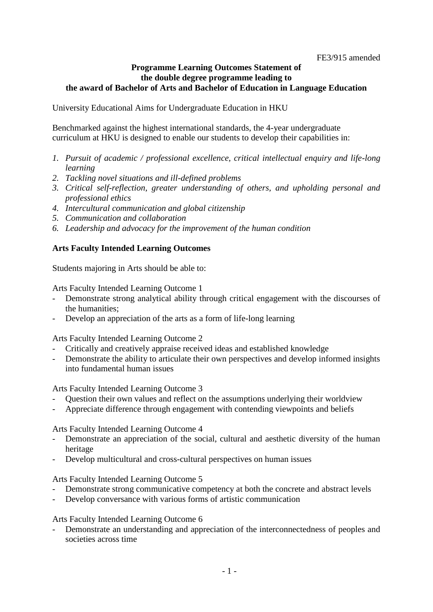#### **Programme Learning Outcomes Statement of the double degree programme leading to the award of Bachelor of Arts and Bachelor of Education in Language Education**

University Educational Aims for Undergraduate Education in HKU

Benchmarked against the highest international standards, the 4-year undergraduate curriculum at HKU is designed to enable our students to develop their capabilities in:

- *1. Pursuit of academic / professional excellence, critical intellectual enquiry and life-long learning*
- *2. Tackling novel situations and ill-defined problems*
- *3. Critical self-reflection, greater understanding of others, and upholding personal and professional ethics*
- *4. Intercultural communication and global citizenship*
- *5. Communication and collaboration*
- *6. Leadership and advocacy for the improvement of the human condition*

#### **Arts Faculty Intended Learning Outcomes**

Students majoring in Arts should be able to:

Arts Faculty Intended Learning Outcome 1

- Demonstrate strong analytical ability through critical engagement with the discourses of the humanities;
- Develop an appreciation of the arts as a form of life-long learning

Arts Faculty Intended Learning Outcome 2

- Critically and creatively appraise received ideas and established knowledge
- Demonstrate the ability to articulate their own perspectives and develop informed insights into fundamental human issues

Arts Faculty Intended Learning Outcome 3

- Question their own values and reflect on the assumptions underlying their worldview
- Appreciate difference through engagement with contending viewpoints and beliefs

Arts Faculty Intended Learning Outcome 4

- Demonstrate an appreciation of the social, cultural and aesthetic diversity of the human heritage
- Develop multicultural and cross-cultural perspectives on human issues

Arts Faculty Intended Learning Outcome 5

- Demonstrate strong communicative competency at both the concrete and abstract levels
- Develop conversance with various forms of artistic communication

Arts Faculty Intended Learning Outcome 6

Demonstrate an understanding and appreciation of the interconnectedness of peoples and societies across time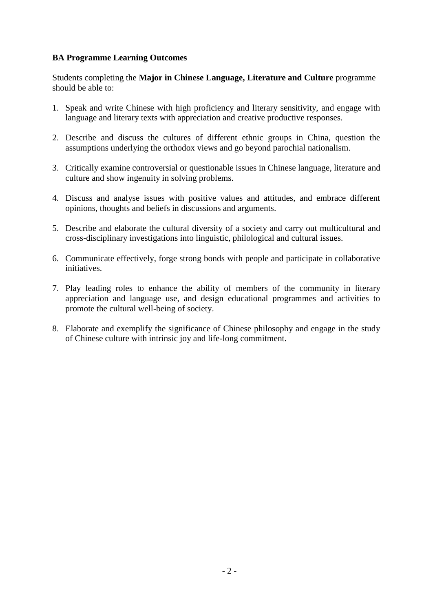## **BA Programme Learning Outcomes**

Students completing the **Major in Chinese Language, Literature and Culture** programme should be able to:

- 1. Speak and write Chinese with high proficiency and literary sensitivity, and engage with language and literary texts with appreciation and creative productive responses.
- 2. Describe and discuss the cultures of different ethnic groups in China, question the assumptions underlying the orthodox views and go beyond parochial nationalism.
- 3. Critically examine controversial or questionable issues in Chinese language, literature and culture and show ingenuity in solving problems.
- 4. Discuss and analyse issues with positive values and attitudes, and embrace different opinions, thoughts and beliefs in discussions and arguments.
- 5. Describe and elaborate the cultural diversity of a society and carry out multicultural and cross-disciplinary investigations into linguistic, philological and cultural issues.
- 6. Communicate effectively, forge strong bonds with people and participate in collaborative initiatives.
- 7. Play leading roles to enhance the ability of members of the community in literary appreciation and language use, and design educational programmes and activities to promote the cultural well-being of society.
- 8. Elaborate and exemplify the significance of Chinese philosophy and engage in the study of Chinese culture with intrinsic joy and life-long commitment.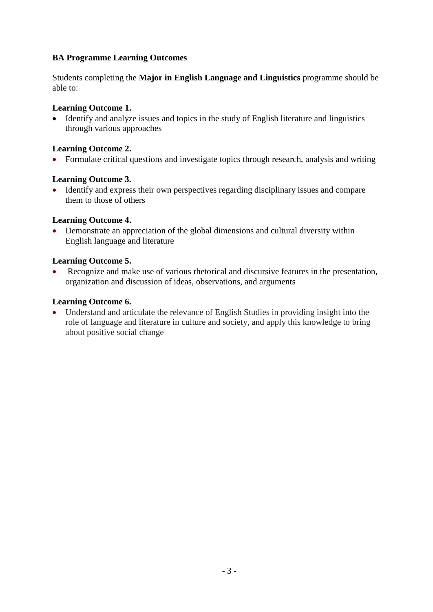# **BA Programme Learning Outcomes**

Students completing the **Major in English Language and Linguistics** programme should be able to:

## **Learning Outcome 1.**

• Identify and analyze issues and topics in the study of English literature and linguistics through various approaches

#### **Learning Outcome 2.**

• Formulate critical questions and investigate topics through research, analysis and writing

#### **Learning Outcome 3.**

• Identify and express their own perspectives regarding disciplinary issues and compare them to those of others

#### **Learning Outcome 4.**

• Demonstrate an appreciation of the global dimensions and cultural diversity within English language and literature

#### **Learning Outcome 5.**

• Recognize and make use of various rhetorical and discursive features in the presentation, organization and discussion of ideas, observations, and arguments

#### **Learning Outcome 6.**

• Understand and articulate the relevance of English Studies in providing insight into the role of language and literature in culture and society, and apply this knowledge to bring about positive social change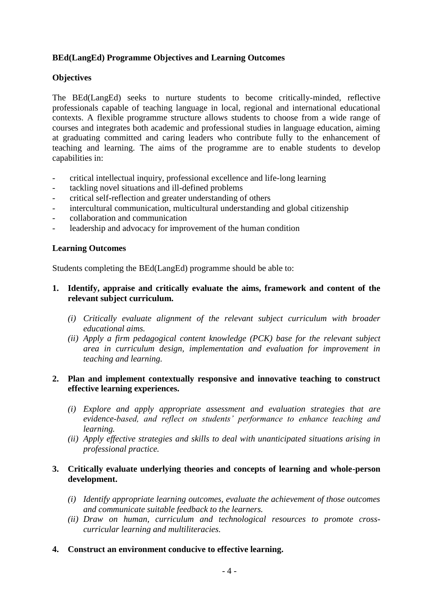## **BEd(LangEd) Programme Objectives and Learning Outcomes**

#### **Objectives**

The BEd(LangEd) seeks to nurture students to become critically-minded, reflective professionals capable of teaching language in local, regional and international educational contexts. A flexible programme structure allows students to choose from a wide range of courses and integrates both academic and professional studies in language education, aiming at graduating committed and caring leaders who contribute fully to the enhancement of teaching and learning. The aims of the programme are to enable students to develop capabilities in:

- critical intellectual inquiry, professional excellence and life-long learning
- tackling novel situations and ill-defined problems
- critical self-reflection and greater understanding of others
- intercultural communication, multicultural understanding and global citizenship
- collaboration and communication
- leadership and advocacy for improvement of the human condition

#### **Learning Outcomes**

Students completing the BEd(LangEd) programme should be able to:

- **1. Identify, appraise and critically evaluate the aims, framework and content of the relevant subject curriculum.** 
	- *(i) Critically evaluate alignment of the relevant subject curriculum with broader educational aims.*
	- *(ii) Apply a firm pedagogical content knowledge (PCK) base for the relevant subject area in curriculum design, implementation and evaluation for improvement in teaching and learning.*

## **2. Plan and implement contextually responsive and innovative teaching to construct effective learning experiences.**

- *(i) Explore and apply appropriate assessment and evaluation strategies that are evidence-based, and reflect on students' performance to enhance teaching and learning.*
- *(ii) Apply effective strategies and skills to deal with unanticipated situations arising in professional practice.*

## **3. Critically evaluate underlying theories and concepts of learning and whole-person development.**

- *(i) Identify appropriate learning outcomes, evaluate the achievement of those outcomes and communicate suitable feedback to the learners.*
- *(ii) Draw on human, curriculum and technological resources to promote crosscurricular learning and multiliteracies.*
- **4. Construct an environment conducive to effective learning.**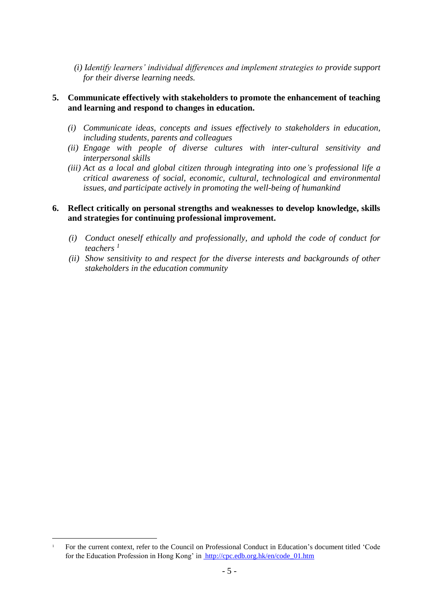*(i) Identify learners' individual differences and implement strategies to provide support for their diverse learning needs.*

#### **5. Communicate effectively with stakeholders to promote the enhancement of teaching and learning and respond to changes in education.**

- *(i) Communicate ideas, concepts and issues effectively to stakeholders in education, including students, parents and colleagues*
- *(ii) Engage with people of diverse cultures with inter-cultural sensitivity and interpersonal skills*
- *(iii) Act as a local and global citizen through integrating into one's professional life a critical awareness of social, economic, cultural, technological and environmental issues, and participate actively in promoting the well-being of humankind*

### **6. Reflect critically on personal strengths and weaknesses to develop knowledge, skills and strategies for continuing professional improvement.**

- *(i) Conduct oneself ethically and professionally, and uphold the code of conduct for teachers <sup>1</sup>*
- *(ii) Show sensitivity to and respect for the diverse interests and backgrounds of other stakeholders in the education community*

1

<sup>1</sup> For the current context, refer to the Council on Professional Conduct in Education's document titled 'Code for the Education Profession in Hong Kong' in http://cpc.edb.org.hk/en/code\_01.htm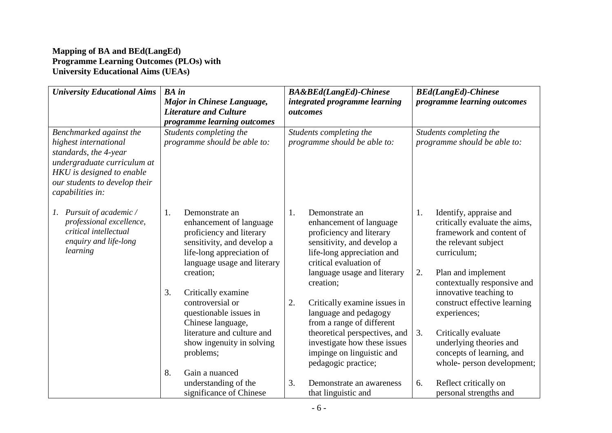## **Mapping of BA and BEd(LangEd) Programme Learning Outcomes (PLOs) with University Educational Aims (UEAs)**

| <b>University Educational Aims</b>                      | <b>BA</b> in                                    | <b>BA&amp;BEd(LangEd)-Chinese</b>               | <b>BEd(LangEd)-Chinese</b>                                    |  |
|---------------------------------------------------------|-------------------------------------------------|-------------------------------------------------|---------------------------------------------------------------|--|
|                                                         | Major in Chinese Language,                      | integrated programme learning                   | programme learning outcomes                                   |  |
|                                                         | <b>Literature and Culture</b>                   | outcomes                                        |                                                               |  |
|                                                         | programme learning outcomes                     |                                                 |                                                               |  |
| Benchmarked against the                                 | Students completing the                         | Students completing the                         | Students completing the                                       |  |
| highest international<br>standards, the 4-year          | programme should be able to:                    | programme should be able to:                    | programme should be able to:                                  |  |
| undergraduate curriculum at                             |                                                 |                                                 |                                                               |  |
| HKU is designed to enable                               |                                                 |                                                 |                                                               |  |
| our students to develop their                           |                                                 |                                                 |                                                               |  |
| capabilities in:                                        |                                                 |                                                 |                                                               |  |
|                                                         |                                                 |                                                 |                                                               |  |
| Pursuit of academic /<br>1.<br>professional excellence, | 1.<br>Demonstrate an<br>enhancement of language | 1.<br>Demonstrate an<br>enhancement of language | 1.<br>Identify, appraise and<br>critically evaluate the aims, |  |
| critical intellectual                                   | proficiency and literary                        | proficiency and literary                        | framework and content of                                      |  |
| enquiry and life-long                                   | sensitivity, and develop a                      | sensitivity, and develop a                      | the relevant subject                                          |  |
| learning                                                | life-long appreciation of                       | life-long appreciation and                      | curriculum;                                                   |  |
|                                                         | language usage and literary                     | critical evaluation of                          |                                                               |  |
|                                                         | creation;                                       | language usage and literary                     | 2.<br>Plan and implement                                      |  |
|                                                         | 3.<br>Critically examine                        | creation;                                       | contextually responsive and<br>innovative teaching to         |  |
|                                                         | controversial or                                | 2.<br>Critically examine issues in              | construct effective learning                                  |  |
|                                                         | questionable issues in                          | language and pedagogy                           | experiences;                                                  |  |
|                                                         | Chinese language,                               | from a range of different                       |                                                               |  |
|                                                         | literature and culture and                      | theoretical perspectives, and                   | 3.<br>Critically evaluate                                     |  |
|                                                         | show ingenuity in solving                       | investigate how these issues                    | underlying theories and                                       |  |
|                                                         | problems;                                       | impinge on linguistic and                       | concepts of learning, and                                     |  |
|                                                         | 8.<br>Gain a nuanced                            | pedagogic practice;                             | whole- person development;                                    |  |
|                                                         | understanding of the                            | 3.<br>Demonstrate an awareness                  | 6.<br>Reflect critically on                                   |  |
|                                                         | significance of Chinese                         | that linguistic and                             | personal strengths and                                        |  |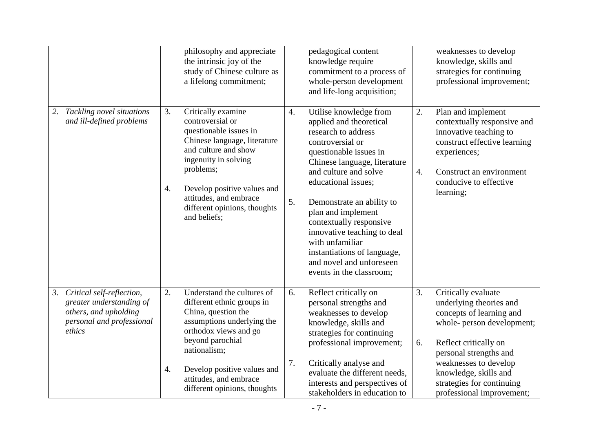|                                                                                                                             | philosophy and appreciate<br>the intrinsic joy of the<br>study of Chinese culture as<br>a lifelong commitment;                                                                                                                                                                     | pedagogical content<br>knowledge require<br>commitment to a process of<br>whole-person development<br>and life-long acquisition;                                                                                                                                                                                                                                                                                                          | weaknesses to develop<br>knowledge, skills and<br>strategies for continuing<br>professional improvement;                                                                                                                                                                            |
|-----------------------------------------------------------------------------------------------------------------------------|------------------------------------------------------------------------------------------------------------------------------------------------------------------------------------------------------------------------------------------------------------------------------------|-------------------------------------------------------------------------------------------------------------------------------------------------------------------------------------------------------------------------------------------------------------------------------------------------------------------------------------------------------------------------------------------------------------------------------------------|-------------------------------------------------------------------------------------------------------------------------------------------------------------------------------------------------------------------------------------------------------------------------------------|
| Tackling novel situations<br>2.<br>and ill-defined problems                                                                 | Critically examine<br>3.<br>controversial or<br>questionable issues in<br>Chinese language, literature<br>and culture and show<br>ingenuity in solving<br>problems;<br>4.<br>Develop positive values and<br>attitudes, and embrace<br>different opinions, thoughts<br>and beliefs; | Utilise knowledge from<br>4.<br>applied and theoretical<br>research to address<br>controversial or<br>questionable issues in<br>Chinese language, literature<br>and culture and solve<br>educational issues;<br>5.<br>Demonstrate an ability to<br>plan and implement<br>contextually responsive<br>innovative teaching to deal<br>with unfamiliar<br>instantiations of language,<br>and novel and unforeseen<br>events in the classroom; | 2.<br>Plan and implement<br>contextually responsive and<br>innovative teaching to<br>construct effective learning<br>experiences;<br>$\overline{4}$ .<br>Construct an environment<br>conducive to effective<br>learning;                                                            |
| Critical self-reflection,<br>3.<br>greater understanding of<br>others, and upholding<br>personal and professional<br>ethics | 2.<br>Understand the cultures of<br>different ethnic groups in<br>China, question the<br>assumptions underlying the<br>orthodox views and go<br>beyond parochial<br>nationalism;<br>Develop positive values and<br>4.<br>attitudes, and embrace<br>different opinions, thoughts    | 6.<br>Reflect critically on<br>personal strengths and<br>weaknesses to develop<br>knowledge, skills and<br>strategies for continuing<br>professional improvement;<br>7.<br>Critically analyse and<br>evaluate the different needs,<br>interests and perspectives of<br>stakeholders in education to                                                                                                                                       | 3.<br>Critically evaluate<br>underlying theories and<br>concepts of learning and<br>whole- person development;<br>Reflect critically on<br>6.<br>personal strengths and<br>weaknesses to develop<br>knowledge, skills and<br>strategies for continuing<br>professional improvement; |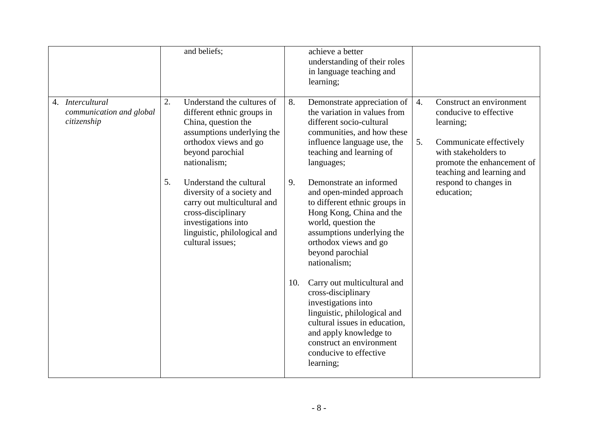|                                                             |    | and beliefs;                                                                                                                                                                          |           | achieve a better<br>understanding of their roles<br>in language teaching and<br>learning;                                                                                                                                                                                                                                                                                                                                                                                    |          |                                                                                                                                                  |
|-------------------------------------------------------------|----|---------------------------------------------------------------------------------------------------------------------------------------------------------------------------------------|-----------|------------------------------------------------------------------------------------------------------------------------------------------------------------------------------------------------------------------------------------------------------------------------------------------------------------------------------------------------------------------------------------------------------------------------------------------------------------------------------|----------|--------------------------------------------------------------------------------------------------------------------------------------------------|
| 4. Intercultural<br>communication and global<br>citizenship | 2. | Understand the cultures of<br>different ethnic groups in<br>China, question the<br>assumptions underlying the<br>orthodox views and go<br>beyond parochial<br>nationalism;            | 8.        | Demonstrate appreciation of<br>the variation in values from<br>different socio-cultural<br>communities, and how these<br>influence language use, the<br>teaching and learning of<br>languages;                                                                                                                                                                                                                                                                               | 4.<br>5. | Construct an environment<br>conducive to effective<br>learning;<br>Communicate effectively<br>with stakeholders to<br>promote the enhancement of |
|                                                             | 5. | Understand the cultural<br>diversity of a society and<br>carry out multicultural and<br>cross-disciplinary<br>investigations into<br>linguistic, philological and<br>cultural issues; | 9.<br>10. | Demonstrate an informed<br>and open-minded approach<br>to different ethnic groups in<br>Hong Kong, China and the<br>world, question the<br>assumptions underlying the<br>orthodox views and go<br>beyond parochial<br>nationalism;<br>Carry out multicultural and<br>cross-disciplinary<br>investigations into<br>linguistic, philological and<br>cultural issues in education,<br>and apply knowledge to<br>construct an environment<br>conducive to effective<br>learning; |          | teaching and learning and<br>respond to changes in<br>education;                                                                                 |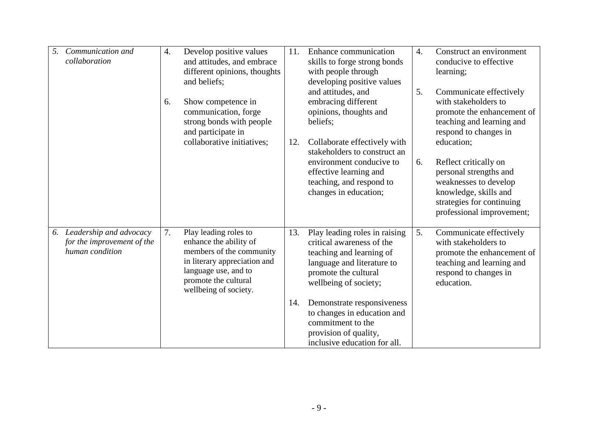| 5. | Communication and<br>collaboration                                       | 4. | Develop positive values<br>and attitudes, and embrace<br>different opinions, thoughts<br>and beliefs;                                                                                | 11. | Enhance communication<br>skills to forge strong bonds<br>with people through<br>developing positive values                                                            | $\overline{4}$ . | Construct an environment<br>conducive to effective<br>learning;                                                                                             |
|----|--------------------------------------------------------------------------|----|--------------------------------------------------------------------------------------------------------------------------------------------------------------------------------------|-----|-----------------------------------------------------------------------------------------------------------------------------------------------------------------------|------------------|-------------------------------------------------------------------------------------------------------------------------------------------------------------|
|    |                                                                          | 6. | Show competence in<br>communication, forge<br>strong bonds with people<br>and participate in<br>collaborative initiatives;                                                           | 12. | and attitudes, and<br>embracing different<br>opinions, thoughts and<br>beliefs;<br>Collaborate effectively with<br>stakeholders to construct an                       | 5.               | Communicate effectively<br>with stakeholders to<br>promote the enhancement of<br>teaching and learning and<br>respond to changes in<br>education;           |
|    |                                                                          |    |                                                                                                                                                                                      |     | environment conducive to<br>effective learning and<br>teaching, and respond to<br>changes in education;                                                               | 6.               | Reflect critically on<br>personal strengths and<br>weaknesses to develop<br>knowledge, skills and<br>strategies for continuing<br>professional improvement; |
| 6. | Leadership and advocacy<br>for the improvement of the<br>human condition | 7. | Play leading roles to<br>enhance the ability of<br>members of the community<br>in literary appreciation and<br>language use, and to<br>promote the cultural<br>wellbeing of society. | 13. | Play leading roles in raising<br>critical awareness of the<br>teaching and learning of<br>language and literature to<br>promote the cultural<br>wellbeing of society; | 5.               | Communicate effectively<br>with stakeholders to<br>promote the enhancement of<br>teaching and learning and<br>respond to changes in<br>education.           |
|    |                                                                          |    |                                                                                                                                                                                      | 14. | Demonstrate responsiveness<br>to changes in education and<br>commitment to the<br>provision of quality,<br>inclusive education for all.                               |                  |                                                                                                                                                             |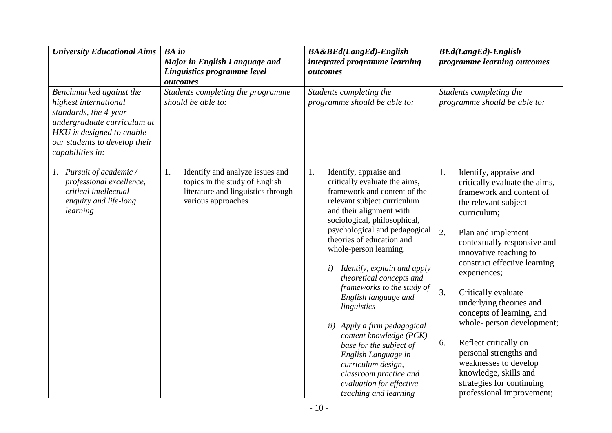| <b>University Educational Aims</b>                                                                                                                                                         | <b>BA</b> in                                                                                                                        | <b>BA&amp;BEd(LangEd)-English</b>                                                                                                                                                        | <b>BEd(LangEd)-English</b>                                                                                                                                        |  |  |
|--------------------------------------------------------------------------------------------------------------------------------------------------------------------------------------------|-------------------------------------------------------------------------------------------------------------------------------------|------------------------------------------------------------------------------------------------------------------------------------------------------------------------------------------|-------------------------------------------------------------------------------------------------------------------------------------------------------------------|--|--|
|                                                                                                                                                                                            | Major in English Language and<br>Linguistics programme level                                                                        | integrated programme learning<br>outcomes                                                                                                                                                | programme learning outcomes                                                                                                                                       |  |  |
|                                                                                                                                                                                            | outcomes                                                                                                                            |                                                                                                                                                                                          |                                                                                                                                                                   |  |  |
| Benchmarked against the<br>highest international<br>standards, the 4-year<br>undergraduate curriculum at<br>HKU is designed to enable<br>our students to develop their<br>capabilities in: | Students completing the programme<br>should be able to:                                                                             | Students completing the<br>programme should be able to:                                                                                                                                  | Students completing the<br>programme should be able to:                                                                                                           |  |  |
| 1. Pursuit of academic /<br>professional excellence,<br>critical intellectual<br>enquiry and life-long<br>learning                                                                         | 1.<br>Identify and analyze issues and<br>topics in the study of English<br>literature and linguistics through<br>various approaches | Identify, appraise and<br>1.<br>critically evaluate the aims,<br>framework and content of the<br>relevant subject curriculum<br>and their alignment with<br>sociological, philosophical, | 1.<br>Identify, appraise and<br>critically evaluate the aims,<br>framework and content of<br>the relevant subject<br>curriculum;                                  |  |  |
|                                                                                                                                                                                            |                                                                                                                                     | psychological and pedagogical<br>theories of education and<br>whole-person learning.<br>Identify, explain and apply<br>i)                                                                | 2.<br>Plan and implement<br>contextually responsive and<br>innovative teaching to<br>construct effective learning                                                 |  |  |
|                                                                                                                                                                                            |                                                                                                                                     | theoretical concepts and                                                                                                                                                                 | experiences;                                                                                                                                                      |  |  |
|                                                                                                                                                                                            |                                                                                                                                     | frameworks to the study of<br>English language and<br>linguistics                                                                                                                        | 3.<br>Critically evaluate<br>underlying theories and<br>concepts of learning, and                                                                                 |  |  |
|                                                                                                                                                                                            |                                                                                                                                     | ii) Apply a firm pedagogical<br>content knowledge (PCK)                                                                                                                                  | whole- person development;                                                                                                                                        |  |  |
|                                                                                                                                                                                            |                                                                                                                                     | base for the subject of<br>English Language in<br>curriculum design,<br>classroom practice and<br>evaluation for effective<br>teaching and learning                                      | Reflect critically on<br>6.<br>personal strengths and<br>weaknesses to develop<br>knowledge, skills and<br>strategies for continuing<br>professional improvement; |  |  |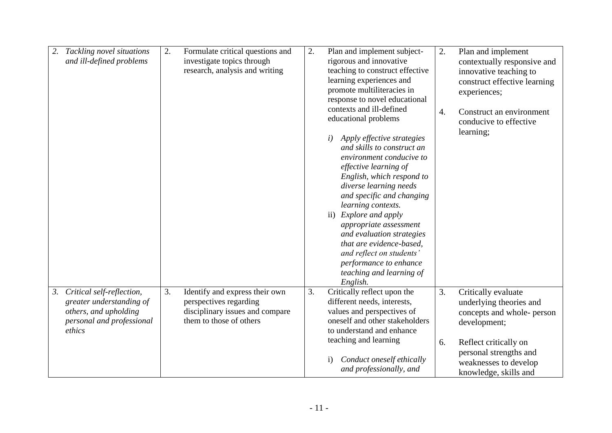| Tackling novel situations<br>2.<br>and ill-defined problems                                                                 | 2.<br>Formulate critical questions and<br>investigate topics through<br>research, analysis and writing                       | 2.<br>Plan and implement subject-<br>rigorous and innovative<br>teaching to construct effective<br>learning experiences and<br>promote multiliteracies in<br>response to novel educational<br>contexts and ill-defined<br>educational problems<br>Apply effective strategies<br>i)<br>and skills to construct an<br>environment conducive to<br>effective learning of<br>English, which respond to<br>diverse learning needs<br>and specific and changing<br>learning contexts.<br>Explore and apply<br>$\mathbf{ii}$<br>appropriate assessment<br>and evaluation strategies<br>that are evidence-based,<br>and reflect on students'<br>performance to enhance<br>teaching and learning of | 2.<br>Plan and implement<br>contextually responsive and<br>innovative teaching to<br>construct effective learning<br>experiences;<br>$\overline{4}$ .<br>Construct an environment<br>conducive to effective<br>learning; |
|-----------------------------------------------------------------------------------------------------------------------------|------------------------------------------------------------------------------------------------------------------------------|--------------------------------------------------------------------------------------------------------------------------------------------------------------------------------------------------------------------------------------------------------------------------------------------------------------------------------------------------------------------------------------------------------------------------------------------------------------------------------------------------------------------------------------------------------------------------------------------------------------------------------------------------------------------------------------------|--------------------------------------------------------------------------------------------------------------------------------------------------------------------------------------------------------------------------|
|                                                                                                                             |                                                                                                                              | English.                                                                                                                                                                                                                                                                                                                                                                                                                                                                                                                                                                                                                                                                                   |                                                                                                                                                                                                                          |
| Critical self-reflection,<br>3.<br>greater understanding of<br>others, and upholding<br>personal and professional<br>ethics | 3.<br>Identify and express their own<br>perspectives regarding<br>disciplinary issues and compare<br>them to those of others | Critically reflect upon the<br>3.<br>different needs, interests,<br>values and perspectives of<br>oneself and other stakeholders<br>to understand and enhance<br>teaching and learning<br>Conduct oneself ethically<br>$\mathbf{i}$<br>and professionally, and                                                                                                                                                                                                                                                                                                                                                                                                                             | 3.<br>Critically evaluate<br>underlying theories and<br>concepts and whole- person<br>development;<br>Reflect critically on<br>6.<br>personal strengths and<br>weaknesses to develop<br>knowledge, skills and            |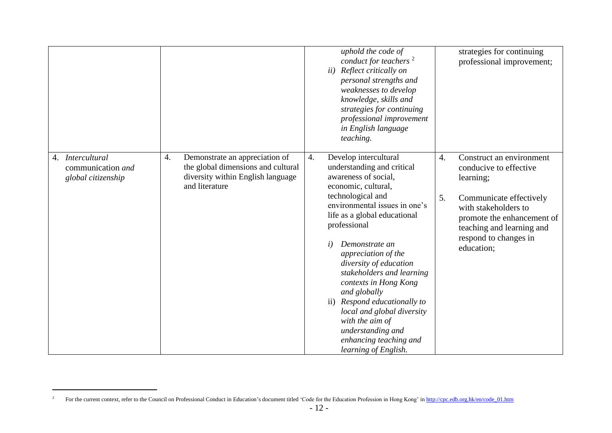|                                                                       |                                                                                                                                   | uphold the code of<br>conduct for teachers <sup>2</sup><br>Reflect critically on<br>ii)<br>personal strengths and<br>weaknesses to develop<br>knowledge, skills and<br>strategies for continuing<br>professional improvement<br>in English language<br>teaching.                                                                                                                                                                                                                                                                              | strategies for continuing<br>professional improvement;                                                                                                                                                                           |
|-----------------------------------------------------------------------|-----------------------------------------------------------------------------------------------------------------------------------|-----------------------------------------------------------------------------------------------------------------------------------------------------------------------------------------------------------------------------------------------------------------------------------------------------------------------------------------------------------------------------------------------------------------------------------------------------------------------------------------------------------------------------------------------|----------------------------------------------------------------------------------------------------------------------------------------------------------------------------------------------------------------------------------|
| <b>Intercultural</b><br>4.<br>communication and<br>global citizenship | 4.<br>Demonstrate an appreciation of<br>the global dimensions and cultural<br>diversity within English language<br>and literature | Develop intercultural<br>4.<br>understanding and critical<br>awareness of social,<br>economic, cultural,<br>technological and<br>environmental issues in one's<br>life as a global educational<br>professional<br>Demonstrate an<br>$\dot{i}$<br>appreciation of the<br>diversity of education<br>stakeholders and learning<br>contexts in Hong Kong<br>and globally<br>Respond educationally to<br>$\overline{ii}$ )<br>local and global diversity<br>with the aim of<br>understanding and<br>enhancing teaching and<br>learning of English. | 4.<br>Construct an environment<br>conducive to effective<br>learning;<br>5.<br>Communicate effectively<br>with stakeholders to<br>promote the enhancement of<br>teaching and learning and<br>respond to changes in<br>education; |

1

<sup>&</sup>lt;sup>2</sup> For the current context, refer to the Council on Professional Conduct in Education's document titled 'Code for the Education Profession in Hong Kong' i[n http://cpc.edb.org.hk/en/code\\_01.htm](http://cpc.edb.org.hk/en/code_01.htm)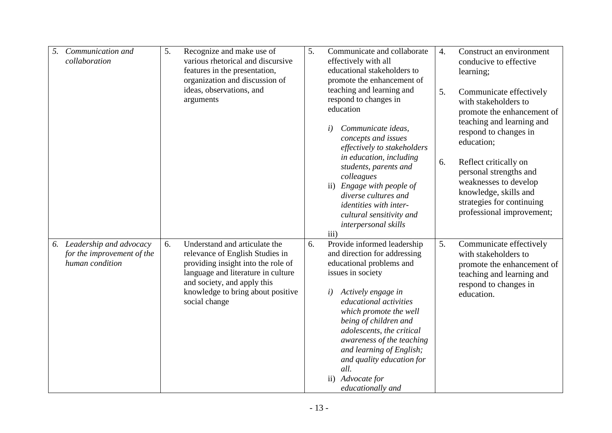| 5. | Communication and<br>collaboration                                          | 5. | Recognize and make use of<br>various rhetorical and discursive<br>features in the presentation,<br>organization and discussion of<br>ideas, observations, and<br>arguments                                                        | 5. | Communicate and collaborate<br>effectively with all<br>educational stakeholders to<br>promote the enhancement of<br>teaching and learning and<br>respond to changes in<br>education                                                                                                                                                                                                                    | $\overline{4}$ .<br>5. | Construct an environment<br>conducive to effective<br>learning;<br>Communicate effectively<br>with stakeholders to<br>promote the enhancement of                                                                                |
|----|-----------------------------------------------------------------------------|----|-----------------------------------------------------------------------------------------------------------------------------------------------------------------------------------------------------------------------------------|----|--------------------------------------------------------------------------------------------------------------------------------------------------------------------------------------------------------------------------------------------------------------------------------------------------------------------------------------------------------------------------------------------------------|------------------------|---------------------------------------------------------------------------------------------------------------------------------------------------------------------------------------------------------------------------------|
|    |                                                                             |    |                                                                                                                                                                                                                                   |    | Communicate ideas,<br>concepts and issues<br>effectively to stakeholders<br>in education, including<br>students, parents and<br>colleagues<br>ii) Engage with people of<br>diverse cultures and<br>identities with inter-<br>cultural sensitivity and<br>interpersonal skills<br>iii)                                                                                                                  | 6.                     | teaching and learning and<br>respond to changes in<br>education;<br>Reflect critically on<br>personal strengths and<br>weaknesses to develop<br>knowledge, skills and<br>strategies for continuing<br>professional improvement; |
|    | 6. Leadership and advocacy<br>for the improvement of the<br>human condition | 6. | Understand and articulate the<br>relevance of English Studies in<br>providing insight into the role of<br>language and literature in culture<br>and society, and apply this<br>knowledge to bring about positive<br>social change | 6. | Provide informed leadership<br>and direction for addressing<br>educational problems and<br>issues in society<br>Actively engage in<br>i)<br>educational activities<br>which promote the well<br>being of children and<br>adolescents, the critical<br>awareness of the teaching<br>and learning of English;<br>and quality education for<br>all.<br>Advocate for<br>$\mathbf{ii}$<br>educationally and | 5.                     | Communicate effectively<br>with stakeholders to<br>promote the enhancement of<br>teaching and learning and<br>respond to changes in<br>education.                                                                               |